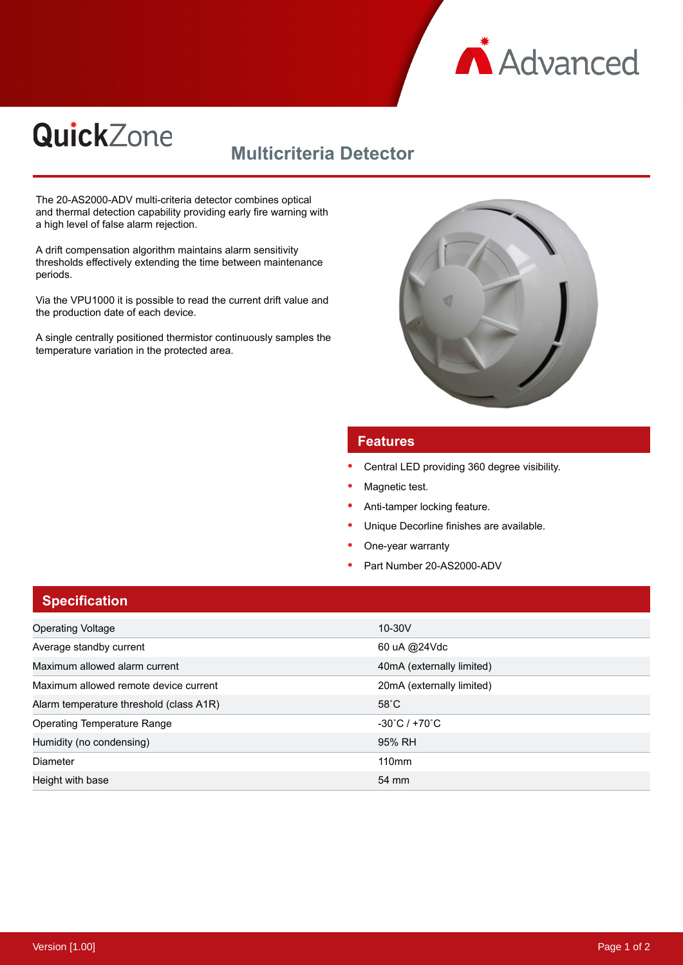

# **QuickZone**

# **Multicriteria Detector**

The 20-AS2000-ADV multi-criteria detector combines optical and thermal detection capability providing early fire warning with a high level of false alarm rejection.

A drift compensation algorithm maintains alarm sensitivity thresholds effectively extending the time between maintenance periods.

Via the VPU1000 it is possible to read the current drift value and the production date of each device.

A single centrally positioned thermistor continuously samples the temperature variation in the protected area.



#### **Features**

- Central LED providing 360 degree visibility.
- Magnetic test.
- Anti-tamper locking feature.
- Unique Decorline finishes are available.
- One-year warranty
- Part Number 20-AS2000-ADV

### **Specification**

| <b>Operating Voltage</b>                | $10-30V$                           |
|-----------------------------------------|------------------------------------|
| Average standby current                 | 60 uA @24Vdc                       |
| Maximum allowed alarm current           | 40mA (externally limited)          |
| Maximum allowed remote device current   | 20mA (externally limited)          |
| Alarm temperature threshold (class A1R) | $58^{\circ}$ C                     |
| <b>Operating Temperature Range</b>      | $-30^{\circ}$ C / +70 $^{\circ}$ C |
| Humidity (no condensing)                | 95% RH                             |
| Diameter                                | 110mm                              |
| Height with base                        | 54 mm                              |